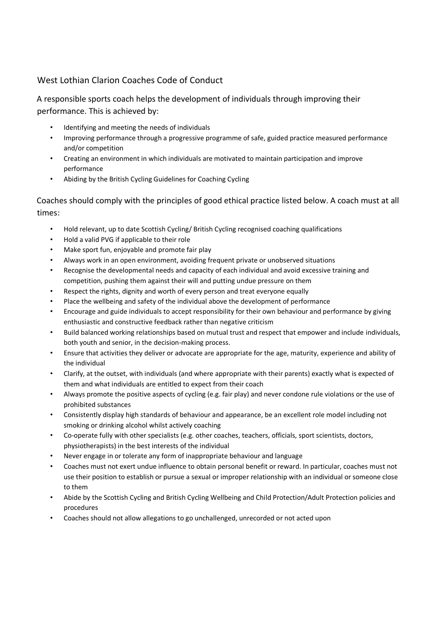## West Lothian Clarion Coaches Code of Conduct

A responsible sports coach helps the development of individuals through improving their performance. This is achieved by:

- Identifying and meeting the needs of individuals
- Improving performance through a progressive programme of safe, guided practice measured performance and/or competition
- Creating an environment in which individuals are motivated to maintain participation and improve performance
- Abiding by the British Cycling Guidelines for Coaching Cycling

Coaches should comply with the principles of good ethical practice listed below. A coach must at all times:

- Hold relevant, up to date Scottish Cycling/ British Cycling recognised coaching qualifications
- Hold a valid PVG if applicable to their role
- Make sport fun, enjoyable and promote fair play
- Always work in an open environment, avoiding frequent private or unobserved situations
- Recognise the developmental needs and capacity of each individual and avoid excessive training and competition, pushing them against their will and putting undue pressure on them
- Respect the rights, dignity and worth of every person and treat everyone equally
- Place the wellbeing and safety of the individual above the development of performance
- Encourage and guide individuals to accept responsibility for their own behaviour and performance by giving enthusiastic and constructive feedback rather than negative criticism
- Build balanced working relationships based on mutual trust and respect that empower and include individuals, both youth and senior, in the decision-making process.
- Ensure that activities they deliver or advocate are appropriate for the age, maturity, experience and ability of the individual
- Clarify, at the outset, with individuals (and where appropriate with their parents) exactly what is expected of them and what individuals are entitled to expect from their coach
- Always promote the positive aspects of cycling (e.g. fair play) and never condone rule violations or the use of prohibited substances
- Consistently display high standards of behaviour and appearance, be an excellent role model including not smoking or drinking alcohol whilst actively coaching
- Co-operate fully with other specialists (e.g. other coaches, teachers, officials, sport scientists, doctors, physiotherapists) in the best interests of the individual
- Never engage in or tolerate any form of inappropriate behaviour and language
- Coaches must not exert undue influence to obtain personal benefit or reward. In particular, coaches must not use their position to establish or pursue a sexual or improper relationship with an individual or someone close to them
- Abide by the Scottish Cycling and British Cycling Wellbeing and Child Protection/Adult Protection policies and procedures
- Coaches should not allow allegations to go unchallenged, unrecorded or not acted upon